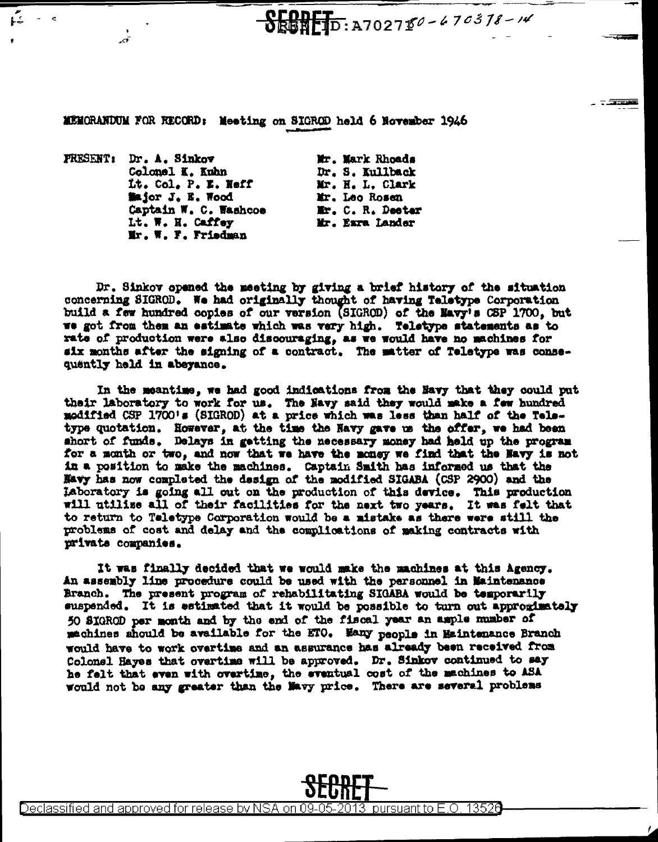MEMORANDUM FOR RECORD: Meeting on SIGROD held 6 November 1946

FRESENT: Dr. A. Sinkov Colonel K. Kuhn Lt. Col. P. E. Neff Major J. E. Wood Captain W. C. Washcoe Lt. W. H. Caffey Mr. W. F. Friedman

. A

۴ź

 $\sim$   $\sim$ 

Mr. Mark Rhoads Dr. S. Kullback Mr. H. L. Clark Mr. Leo Rosen Mr. C. R. Decter Mr. Exra Lander

 $\frac{\text{SPORF}}{\text{SPBF}}$  = A7027 \$0 - 470378 - 14

 $\overline{z}$  ,  $\overline{z}$  and  $\overline{z}$ 

Dr. Sinkov opened the meeting by giving a brief history of the situation concerning SIGROD. We had originally thought of having Teletype Corporation build a few hundred copies of our version (SIGROD) of the Mavy's CSP 1700, but we got from them an estimate which was very high. Teletype statements as to rate of production were also discouraging, as we would have no machines for six months after the signing of a contract. The matter of Teletype was consequantly held in abeyance.

In the meantime, we had good indications from the Havy that they could put their laboratory to work for us. The Navy said they would make a few hundred modified CSP 1700's (SIGROD) at a price which was less than half of the Teletype quotation. However, at the time the Navy gave us the offer, we had been short of funds. Delays in getting the necessary money had held up the program for a month or two, and now that we have the money we find that the Havy is not in a position to make the machines. Captain Smith has informed us that the Navy has now completed the design of the modified SIGABA (CSP 2900) and the Laboratory is going all out on the production of this device. This production will utilize all of their facilities for the next two years. It was felt that to return to Teletype Corporation would be a mistake as there were still the problems of cost and delay and the complications of making contracts with private companies.

It was finally decided that we would make the machines at this Agency. An assembly line procedure could be used with the personnel in Maintenance Branch. The present program of rehabilitating SIGABA would be temporarily suspended. It is estimated that it would be possible to turn out approximately 50 SIGROD per month and by the end of the fiscal year an ample number of machines should be available for the ETO. Many people in Maintenance Branch would have to work overtime and an assurance has already been received from Colonel Hayes that overtime will be approved. Dr. Sinkov continued to say he felt that even with overtime, the eventual cost of the machines to ASA would not be any greater than the Mavy price. There are several problems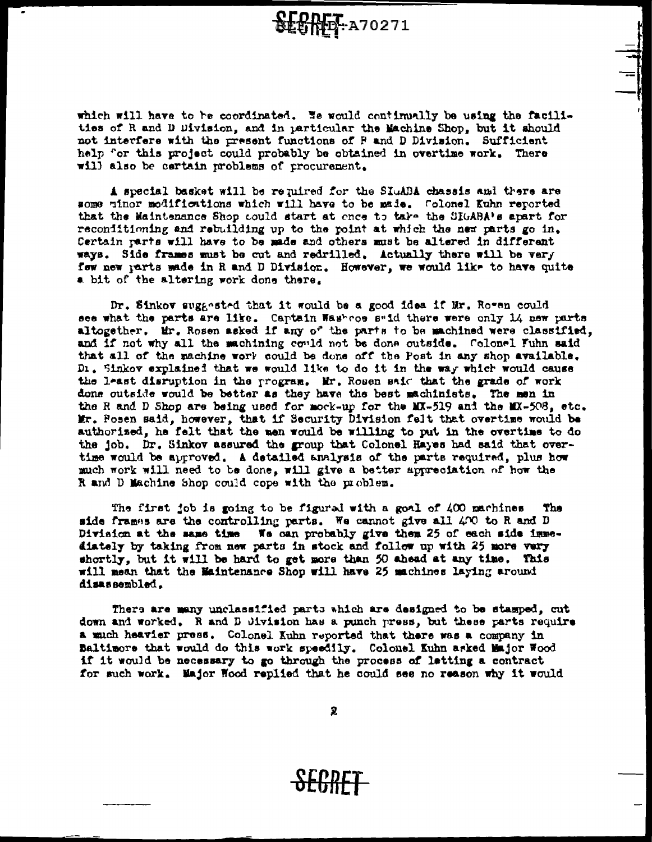**SECRET**-A70271

which will have to be coordinated. We would continually be using the facilities of R and D Division, and in particular the Machine Shop, but it should not interfere with the present functions of P and D Division. Sufficient help for this project could probably be obtained in overtime work. There will also be certain problems of procurement.

A special basket will be required for the SIuABA chassis and there are some ninor modifications which will have to be made. Colonel Kuhn reported that the Maintenance Shop could start at once to take the SIGABA's apart for reconfitioning and rebuilding up to the point at which the new parts go in. Certain parts will have to be made and others must be altered in different ways. Side frames must be cut and redrilled. Actually there will be very fow new parts made in R and D Division. However, we would like to have quite a bit of the altering work done there.

Dr. Sinkov suggested that it would be a good idea if Mr. Rowen could see what the parts are like. Captain Washroe said there were only 14 new parts altogether. Mr. Rosen asked if any of the parts to be machined were classified, and if not why all the machining could not be done outside. Colonel Fuhn said that all of the machine work could be done off the Post in any shop available. Di. Sinkov explained that we would like to do it in the way which would cause the least disruption in the program. Mr. Rosen said that the grade of work done outside would be better as they have the best machinists. The men in the R and D Shop are being used for mock-up for the MX-519 and the MX-508, etc. Mr. Posen said, however, that if Security Division felt that overtime would be authorized, he felt that the men would be willing to put in the overtime to do the job. Dr. Sinkov assured the group that Colonel Hayes had said that overtime would be approved. A detailed analysis of the parts required, plus how much work will need to be done, will give a better appreciation of how the R and D Machine Shop could cope with the problem.

The first job is going to be figured with a goal of 400 machines The side frames are the controlling parts. We cannot give all 400 to R and D Division at the same time We can probably give them 25 of each side immediately by taking from new parts in stock and follow up with 25 more vary shortly, but it will be hard to get more than 50 ahead at any time. This will mean that the Maintenance Shop will have 25 machines laying around disassembled.

There are many unclassified parts which are designed to be stamped, cut down and worked. R and D Division has a punch press, but these parts require a much heavier press. Colonel Kuhn reported that there was a company in Baltimore that would do this work speedily. Colonel Kuhn asked Major Wood if it would be necessary to go through the process of letting a contract for such work. Major Wood replied that he could see no reason why it would

2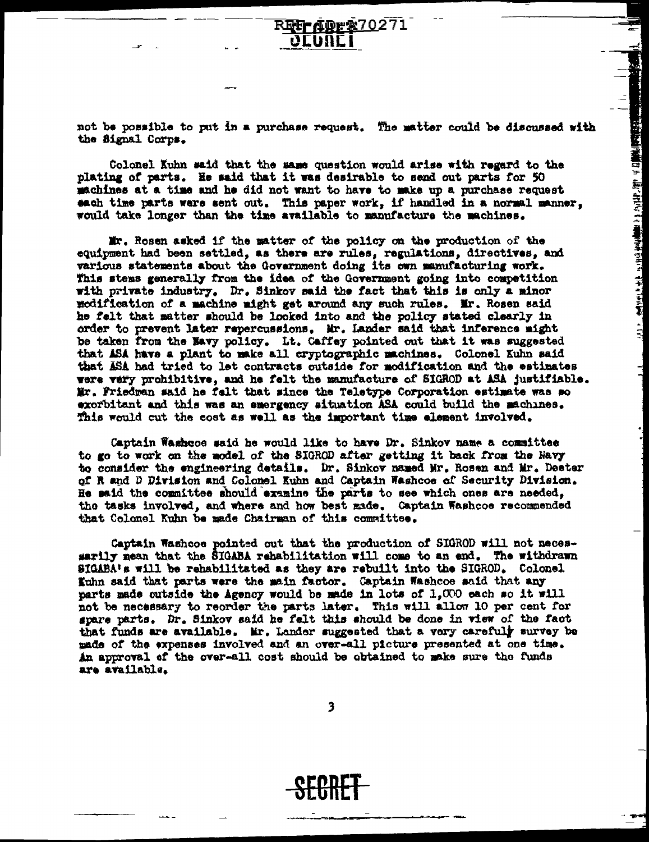not be possible to put in a purchase request. The matter could be discussed with the Signal Corps.

R**RF 40r%7**0271

Colonel Kuhn said that the same question would arise with regard to the plating of parts. He said that it was desirable to send out parts for 50 machines at a time and he did not want to have to make up a purchase request sach time parts were sent out. This paper work, if handled in a normal manner. would take longer than the time available to manufacture the machines.

Mr. Rosen asked if the matter of the policy on the production of the equipment had been settled, as there are rules, regulations, directives, and various statements about the Government doing its own manufacturing work. This stems generally from the idea of the Government going into competition with private industry. Dr. Sinkov said the fact that this is only a minor modification of a machine might get around any such rules. Mr. Rosen said he felt that matter should be looked into and the policy stated clearly in order to prevent later repercussions. Mr. Lander said that inference might be taken from the Havy policy. Lt. Caffey pointed out that it was suggested that ASA have a plant to make all cryptographic machines. Colonel Kuhn said that ASA had tried to let contracts outside for modification and the estimates were very prohibitive, and he felt the manufacture of SIGROD at ASA justifiable. Mr. Friedman said he falt that since the Teletype Corporation estimate was so exorbitant and this was an emergency situation ASA could build the machines. This would cut the cost as well as the important time element involved.

Captain Washeos said he would like to have Dr. Sinkov name a committee to go to work on the model of the SIGROD after getting it back from the Navy to consider the engineering details. Dr. Sinkov named Mr. Rosen and Mr. Deeter of R and D Division and Colomel Kuhn and Captain Washcoe of Security Division. He said the committee should examine the parts to see which ones are needed, the tasks involved, and where and how best made. Captain Washcoe recommended that Colonel Kuhn be made Chairman of this committee.

Captain Washcoe pointed out that the production of SIGROD will not necessarily mean that the SIGABA rehabilitation will come to an end. The withdrawn SIGABA's will be rehabilitated as they are rebuilt into the SIGROD. Colonel Tuhn said that parts were the main factor. Captain Washcoe said that any parts made outside the Agency would be made in lots of 1,000 each so it will not be necessary to reorder the parts later. This will allow 10 per cent for spare parts. Dr. Sinkov said he felt this should be done in view of the fact that funds are available. Mr. Lander suggested that a very carefully survey be made of the expenses involved and an over-all picture presented at one time. An approval of the over-all cost should be obtained to make sure the funds are available.

3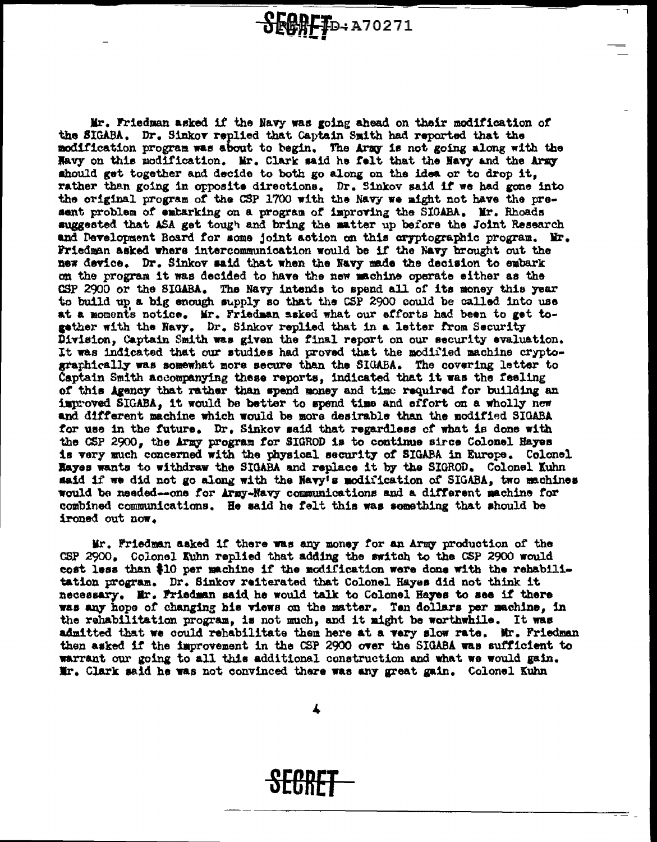$\frac{1}{2}$  $\frac{1}{2}$  $\frac{1}{2}$  $\frac{1}{2}$  $\frac{1}{2}$  $\frac{1}{2}$ 

 $\overline{\phantom{a}}$ 

Mr. Friedman asked if the Navy was going ahead on their modification of the SIGABA. Dr. Sinkov replied that Captain Smith had reported that the modification program was about to begin. The Aray is not going along with the Wavy on this modification. Mr. Clark said he felt that the Navy and the Army should get together and decide to both go along on the idea or to drop it, rather than going in opposite directions. Dr. Sinkov said if we had gone into the original program of the CSP 1700 with the Navy we might not have the present problem of embarking on a program of improving the SIGABA. Mr. Rhoads suggested that ASA get tough and bring the matter up before the Joint Research and Development Board for some joint action on this cryptographic program. Mr. Friedman asked where intercommunication would be if the Navy brought out the new device. Dr. Sinkov said that when the Navy made the decision to embark on the program it was decided to have the new machine operate either as the CSP 2900 or the SIGABA. The Navy intends to spend all of its money this year to build up a big enough supply so that the CSP 2900 could be called into use at a moments notice. Mr. Friedman asked what our efforts had been to get together with the Navy. Dr. Sinkov replied that in a letter from Security Division, Captain Smith was given the final report on our security evaluation. It was indicated that our studies had proved that the modified machine cryptographically was somewhat more secure than the SIGABA. The covering letter to Captain Smith accompanying these reports, indicated that it was the feeling of this Agency that rather than spend money and time required for building an improved SIGABA, it would be better to spend time and effort on a wholly new and different machine which would be more desirable than the modified SIGABA for use in the future. Dr. Sinkov said that regardless of what is done with the CSP 2900, the Army program for SIGROD is to continue sirce Colonel Hayes is very much concerned with the physical security of SIGABA in Europe. Colonel Eayes wants to withdraw the SIGABA and replace it by the SIGROD. Colonel Kuhn said if we did not go along with the Navy's modification of SIGABA, two machines would be needed--one for Army-Navy communications and a different machine for combined communications. He said he felt this was something that should be ironed out now.

Mr. Friedman asked if there was any money for an Army production of the CSP 2900. Colonel Kuhn replied that adding the switch to the CSP 2900 would cost less than \$10 per machine if the modification were done with the rehabilitation program. Dr. Sinkov reiterated that Colonel Hayes did not think it necessary. Mr. Friedman said he would talk to Colonel Hayes to see if there was any hope of changing his views on the matter. Ten dollars per machine, in the rehabilitation program, is not much, and it might be worthwhile. It was admitted that we could rehabilitate them here at a very slow rate. Mr. Friedman then asked if the improvement in the CSP 2900 over the SIGABA was sufficient to warrant our going to all this additional construction and what we would gain. Mr. Clark said he was not convinced there was any great gain. Colonel Kuhn